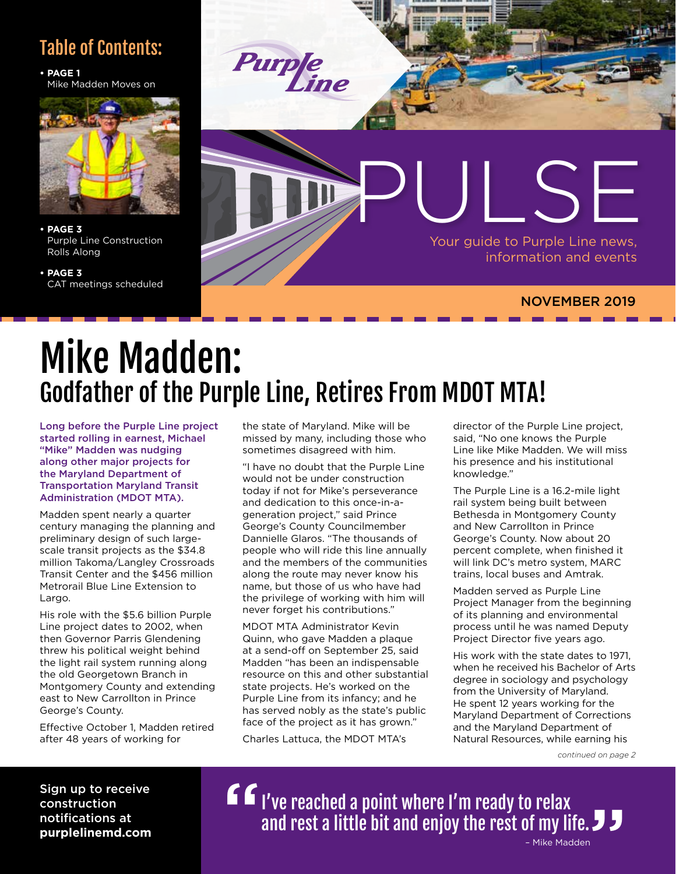#### Table of Contents:

**• PAGE 1** Mike Madden Moves on



**• PAGE 3** Purple Line Construction Rolls Along

**• PAGE 3** CAT meetings scheduled



## Mike Madden: Godfather of the Purple Line, Retires From MDOT MTA!

Long before the Purple Line project started rolling in earnest, Michael "Mike" Madden was nudging along other major projects for the Maryland Department of Transportation Maryland Transit Administration (MDOT MTA).

Madden spent nearly a quarter century managing the planning and preliminary design of such largescale transit projects as the \$34.8 million Takoma/Langley Crossroads Transit Center and the \$456 million Metrorail Blue Line Extension to Largo.

His role with the \$5.6 billion Purple Line project dates to 2002, when then Governor Parris Glendening threw his political weight behind the light rail system running along the old Georgetown Branch in Montgomery County and extending east to New Carrollton in Prince George's County.

Effective October 1, Madden retired after 48 years of working for

the state of Maryland. Mike will be missed by many, including those who sometimes disagreed with him.

"I have no doubt that the Purple Line would not be under construction today if not for Mike's perseverance and dedication to this once-in-ageneration project," said Prince George's County Councilmember Dannielle Glaros. "The thousands of people who will ride this line annually and the members of the communities along the route may never know his name, but those of us who have had the privilege of working with him will never forget his contributions."

MDOT MTA Administrator Kevin Quinn, who gave Madden a plaque at a send-off on September 25, said Madden "has been an indispensable resource on this and other substantial state projects. He's worked on the Purple Line from its infancy; and he has served nobly as the state's public face of the project as it has grown." Charles Lattuca, the MDOT MTA's

director of the Purple Line project, said, "No one knows the Purple Line like Mike Madden. We will miss his presence and his institutional knowledge."

The Purple Line is a 16.2-mile light rail system being built between Bethesda in Montgomery County and New Carrollton in Prince George's County. Now about 20 percent complete, when finished it will link DC's metro system, MARC trains, local buses and Amtrak.

Madden served as Purple Line Project Manager from the beginning of its planning and environmental process until he was named Deputy Project Director five years ago.

His work with the state dates to 1971, when he received his Bachelor of Arts degree in sociology and psychology from the University of Maryland. He spent 12 years working for the Maryland Department of Corrections and the Maryland Department of Natural Resources, while earning his

*continued on page 2*

Sign up to receive construction notifications at **purplelinemd.com**

I've reached a point where I'm ready to relax and rest a little bit and enjoy the rest of my life. – Mike Madden " "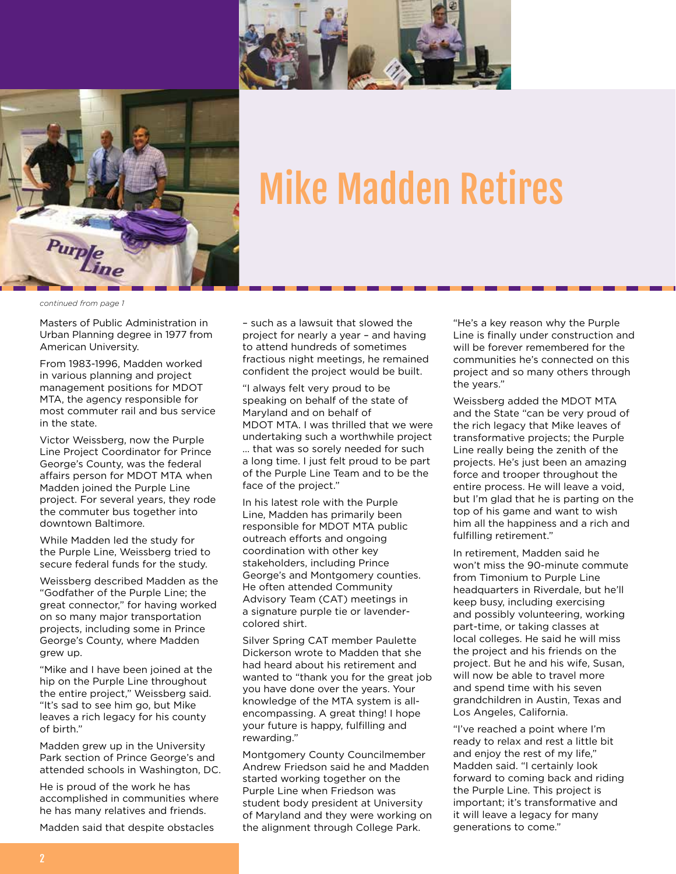



# Mike Madden Retires

*continued from page 1*

Masters of Public Administration in Urban Planning degree in 1977 from American University.

From 1983-1996, Madden worked in various planning and project management positions for MDOT MTA, the agency responsible for most commuter rail and bus service in the state.

Victor Weissberg, now the Purple Line Project Coordinator for Prince George's County, was the federal affairs person for MDOT MTA when Madden joined the Purple Line project. For several years, they rode the commuter bus together into downtown Baltimore.

While Madden led the study for the Purple Line, Weissberg tried to secure federal funds for the study.

Weissberg described Madden as the "Godfather of the Purple Line; the great connector," for having worked on so many major transportation projects, including some in Prince George's County, where Madden grew up.

"Mike and I have been joined at the hip on the Purple Line throughout the entire project," Weissberg said. "It's sad to see him go, but Mike leaves a rich legacy for his county of birth."

Madden grew up in the University Park section of Prince George's and attended schools in Washington, DC.

He is proud of the work he has accomplished in communities where he has many relatives and friends.

Madden said that despite obstacles

– such as a lawsuit that slowed the project for nearly a year – and having to attend hundreds of sometimes fractious night meetings, he remained confident the project would be built.

"I always felt very proud to be speaking on behalf of the state of Maryland and on behalf of MDOT MTA. I was thrilled that we were undertaking such a worthwhile project … that was so sorely needed for such a long time. I just felt proud to be part of the Purple Line Team and to be the face of the project."

In his latest role with the Purple Line, Madden has primarily been responsible for MDOT MTA public outreach efforts and ongoing coordination with other key stakeholders, including Prince George's and Montgomery counties. He often attended Community Advisory Team (CAT) meetings in a signature purple tie or lavendercolored shirt.

Silver Spring CAT member Paulette Dickerson wrote to Madden that she had heard about his retirement and wanted to "thank you for the great job you have done over the years. Your knowledge of the MTA system is allencompassing. A great thing! I hope your future is happy, fulfilling and rewarding."

Montgomery County Councilmember Andrew Friedson said he and Madden started working together on the Purple Line when Friedson was student body president at University of Maryland and they were working on the alignment through College Park.

"He's a key reason why the Purple Line is finally under construction and will be forever remembered for the communities he's connected on this project and so many others through the years."

Weissberg added the MDOT MTA and the State "can be very proud of the rich legacy that Mike leaves of transformative projects; the Purple Line really being the zenith of the projects. He's just been an amazing force and trooper throughout the entire process. He will leave a void, but I'm glad that he is parting on the top of his game and want to wish him all the happiness and a rich and fulfilling retirement."

In retirement, Madden said he won't miss the 90-minute commute from Timonium to Purple Line headquarters in Riverdale, but he'll keep busy, including exercising and possibly volunteering, working part-time, or taking classes at local colleges. He said he will miss the project and his friends on the project. But he and his wife, Susan, will now be able to travel more and spend time with his seven grandchildren in Austin, Texas and Los Angeles, California.

"I've reached a point where I'm ready to relax and rest a little bit and enjoy the rest of my life," Madden said. "I certainly look forward to coming back and riding the Purple Line. This project is important; it's transformative and it will leave a legacy for many generations to come."